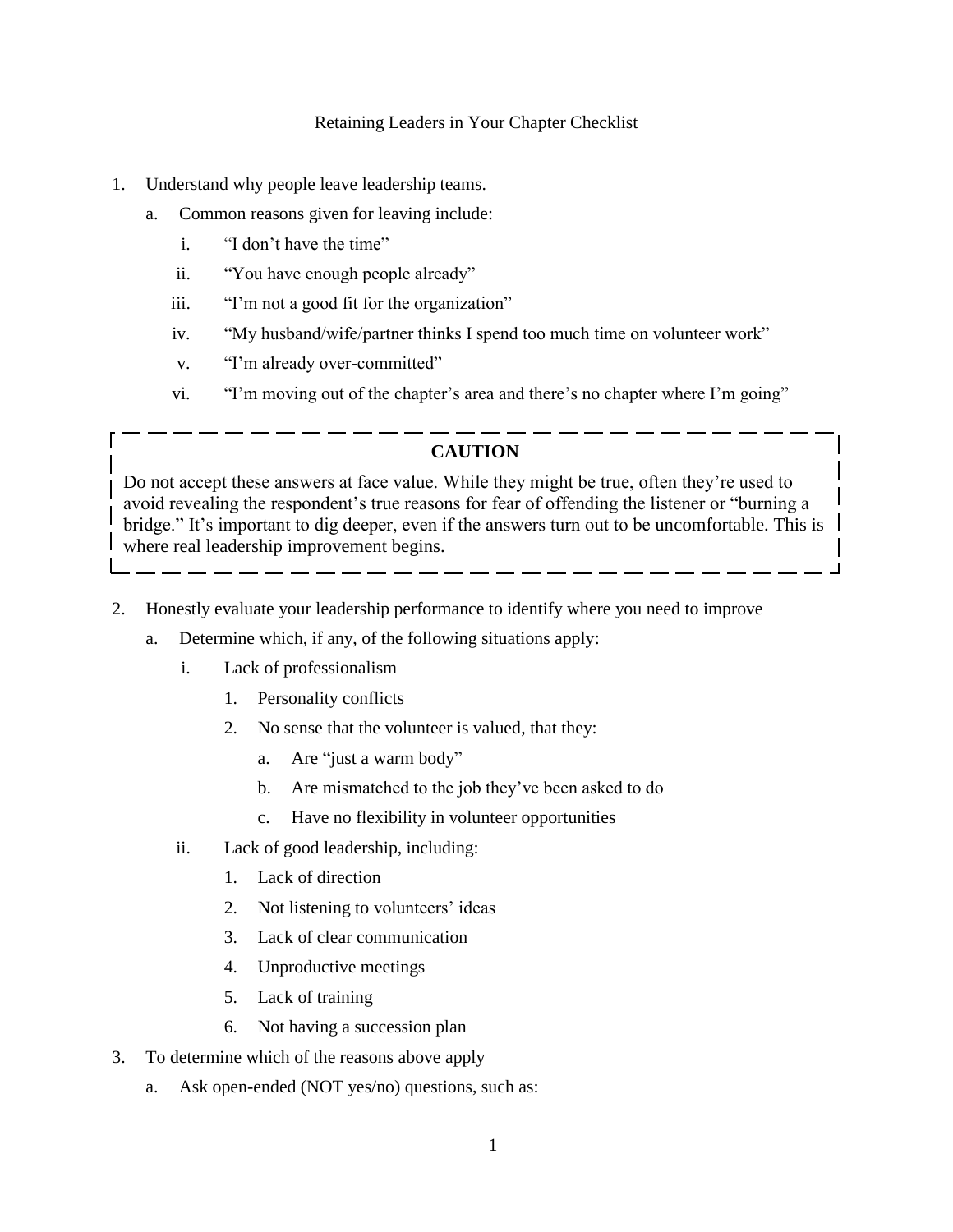## Retaining Leaders in Your Chapter Checklist

- 1. Understand why people leave leadership teams.
	- a. Common reasons given for leaving include:
		- i. "I don't have the time"
		- ii. "You have enough people already"
		- iii. "I'm not a good fit for the organization"
		- iv. "My husband/wife/partner thinks I spend too much time on volunteer work"
		- v. "I'm already over-committed"
		- vi. "I'm moving out of the chapter's area and there's no chapter where I'm going"

## **CAUTION**

Do not accept these answers at face value. While they might be true, often they're used to avoid revealing the respondent's true reasons for fear of offending the listener or "burning a bridge." It's important to dig deeper, even if the answers turn out to be uncomfortable. This is where real leadership improvement begins.

- 2. Honestly evaluate your leadership performance to identify where you need to improve
	- a. Determine which, if any, of the following situations apply:
		- i. Lack of professionalism
			- 1. Personality conflicts
			- 2. No sense that the volunteer is valued, that they:
				- a. Are "just a warm body"
				- b. Are mismatched to the job they've been asked to do
				- c. Have no flexibility in volunteer opportunities
		- ii. Lack of good leadership, including:
			- 1. Lack of direction
			- 2. Not listening to volunteers' ideas
			- 3. Lack of clear communication
			- 4. Unproductive meetings
			- 5. Lack of training
			- 6. Not having a succession plan
- 3. To determine which of the reasons above apply
	- a. Ask open-ended (NOT yes/no) questions, such as: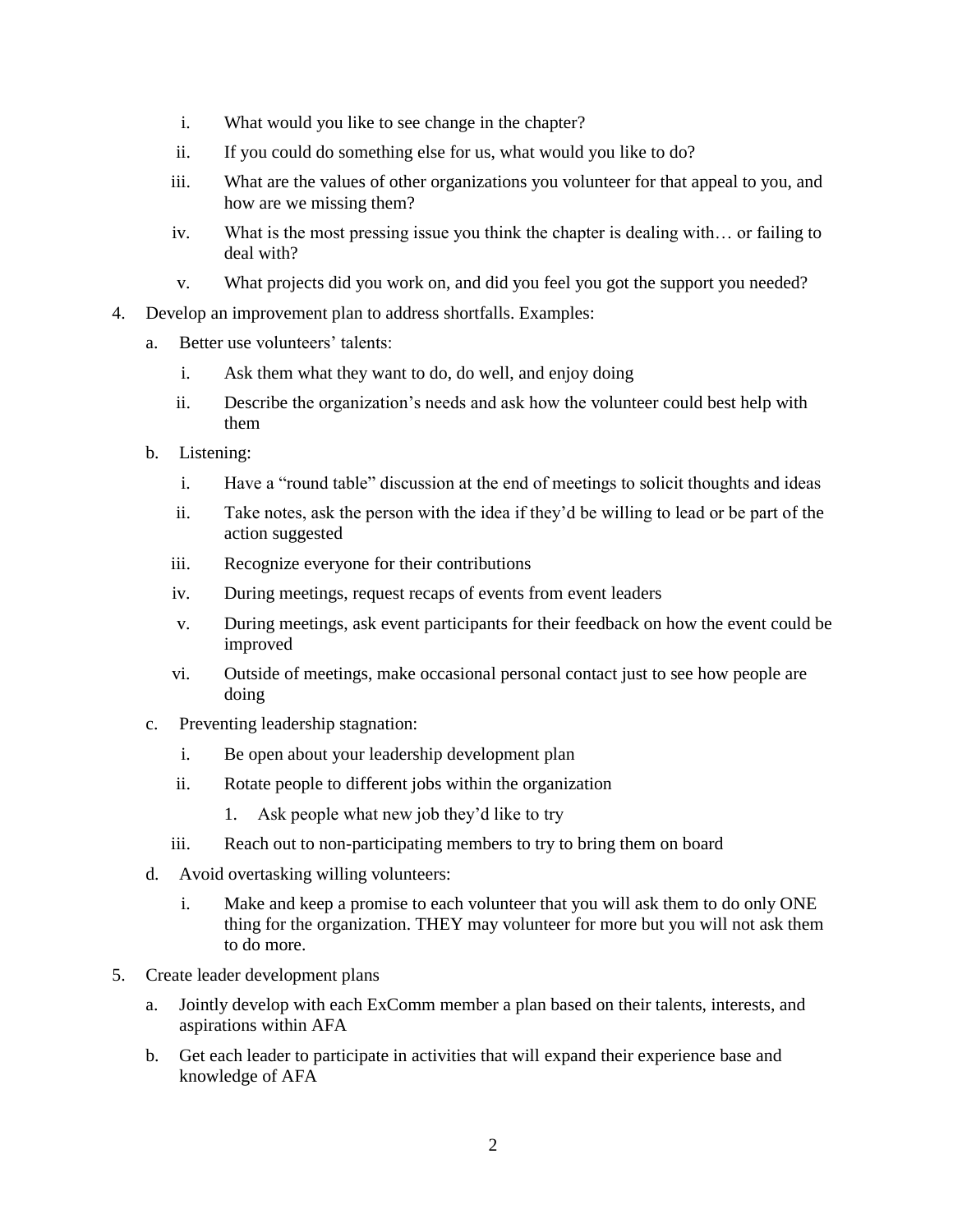- i. What would you like to see change in the chapter?
- ii. If you could do something else for us, what would you like to do?
- iii. What are the values of other organizations you volunteer for that appeal to you, and how are we missing them?
- iv. What is the most pressing issue you think the chapter is dealing with… or failing to deal with?
- v. What projects did you work on, and did you feel you got the support you needed?
- 4. Develop an improvement plan to address shortfalls. Examples:
	- a. Better use volunteers' talents:
		- i. Ask them what they want to do, do well, and enjoy doing
		- ii. Describe the organization's needs and ask how the volunteer could best help with them
	- b. Listening:
		- i. Have a "round table" discussion at the end of meetings to solicit thoughts and ideas
		- ii. Take notes, ask the person with the idea if they'd be willing to lead or be part of the action suggested
		- iii. Recognize everyone for their contributions
		- iv. During meetings, request recaps of events from event leaders
		- v. During meetings, ask event participants for their feedback on how the event could be improved
		- vi. Outside of meetings, make occasional personal contact just to see how people are doing
	- c. Preventing leadership stagnation:
		- i. Be open about your leadership development plan
		- ii. Rotate people to different jobs within the organization
			- 1. Ask people what new job they'd like to try
		- iii. Reach out to non-participating members to try to bring them on board
	- d. Avoid overtasking willing volunteers:
		- i. Make and keep a promise to each volunteer that you will ask them to do only ONE thing for the organization. THEY may volunteer for more but you will not ask them to do more.
- 5. Create leader development plans
	- a. Jointly develop with each ExComm member a plan based on their talents, interests, and aspirations within AFA
	- b. Get each leader to participate in activities that will expand their experience base and knowledge of AFA